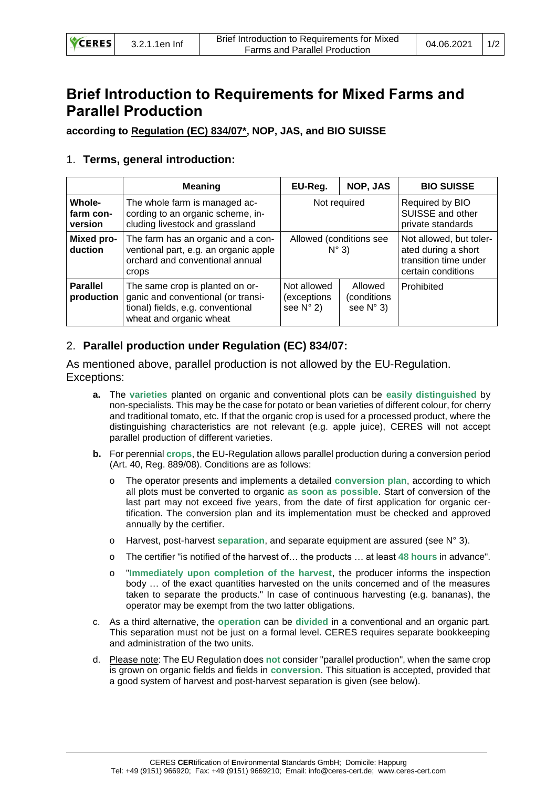| <b>VCERES</b> | 3.2.1.1en Inf | Brief Introduction to Requirements for Mixed<br><b>Farms and Parallel Production</b> | $04.06.2021$   1/2 |  |
|---------------|---------------|--------------------------------------------------------------------------------------|--------------------|--|
|---------------|---------------|--------------------------------------------------------------------------------------|--------------------|--|

# **Brief Introduction to Requirements for Mixed Farms and Parallel Production**

**according to Regulation (EC) 834/07\*, NOP, JAS, and BIO SUISSE** 

## 1. **Terms, general introduction:**

|                                | <b>Meaning</b>                                                                                                                        | EU-Reg.                                          | NOP, JAS                                     | <b>BIO SUISSE</b>                                                                             |
|--------------------------------|---------------------------------------------------------------------------------------------------------------------------------------|--------------------------------------------------|----------------------------------------------|-----------------------------------------------------------------------------------------------|
| Whole-<br>farm con-<br>version | The whole farm is managed ac-<br>cording to an organic scheme, in-<br>cluding livestock and grassland                                 | Not required                                     |                                              | Required by BIO<br>SUISSE and other<br>private standards                                      |
| Mixed pro-<br>duction          | The farm has an organic and a con-<br>ventional part, e.g. an organic apple<br>orchard and conventional annual<br>crops               | Allowed (conditions see<br>$N^{\circ}$ 3)        |                                              | Not allowed, but toler-<br>ated during a short<br>transition time under<br>certain conditions |
| <b>Parallel</b><br>production  | The same crop is planted on or-<br>ganic and conventional (or transi-<br>tional) fields, e.g. conventional<br>wheat and organic wheat | Not allowed<br>(exceptions<br>see $N^{\circ}$ 2) | Allowed<br>(conditions<br>see $N^{\circ}$ 3) | Prohibited                                                                                    |

## 2. **Parallel production under Regulation (EC) 834/07:**

As mentioned above, parallel production is not allowed by the EU-Regulation. Exceptions:

- **a.** The **varieties** planted on organic and conventional plots can be **easily distinguished** by non-specialists. This may be the case for potato or bean varieties of different colour, for cherry and traditional tomato, etc. If that the organic crop is used for a processed product, where the distinguishing characteristics are not relevant (e.g. apple juice), CERES will not accept parallel production of different varieties.
- **b.** For perennial **crops**, the EU-Regulation allows parallel production during a conversion period (Art. 40, Reg. 889/08). Conditions are as follows:
	- o The operator presents and implements a detailed **conversion plan**, according to which all plots must be converted to organic **as soon as possible**. Start of conversion of the last part may not exceed five years, from the date of first application for organic certification. The conversion plan and its implementation must be checked and approved annually by the certifier.
	- o Harvest, post-harvest **separation**, and separate equipment are assured (see N° 3).
	- o The certifier "is notified of the harvest of… the products … at least **48 hours** in advance".
	- o "**Immediately upon completion of the harvest**, the producer informs the inspection body … of the exact quantities harvested on the units concerned and of the measures taken to separate the products." In case of continuous harvesting (e.g. bananas), the operator may be exempt from the two latter obligations.
- c. As a third alternative, the **operation** can be **divided** in a conventional and an organic part. This separation must not be just on a formal level. CERES requires separate bookkeeping and administration of the two units.
- d. Please note: The EU Regulation does **not** consider "parallel production", when the same crop is grown on organic fields and fields in **conversion**. This situation is accepted, provided that a good system of harvest and post-harvest separation is given (see below).